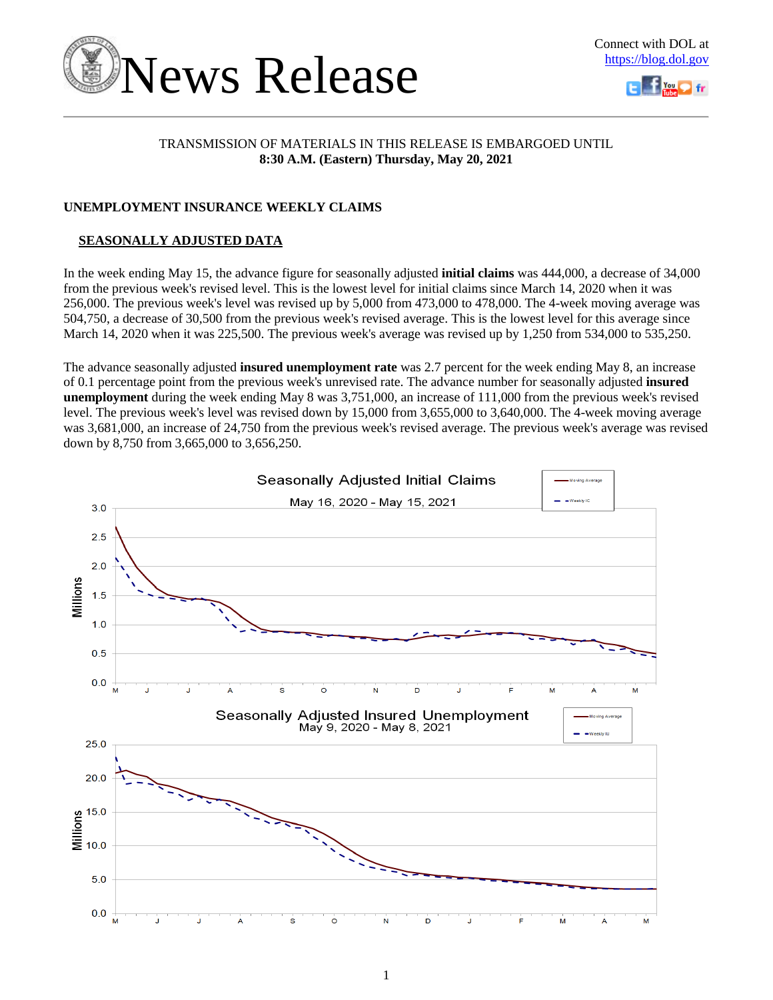



### TRANSMISSION OF MATERIALS IN THIS RELEASE IS EMBARGOED UNTIL **8:30 A.M. (Eastern) Thursday, May 20, 2021**

### **UNEMPLOYMENT INSURANCE WEEKLY CLAIMS**

### **SEASONALLY ADJUSTED DATA**

In the week ending May 15, the advance figure for seasonally adjusted **initial claims** was 444,000, a decrease of 34,000 from the previous week's revised level. This is the lowest level for initial claims since March 14, 2020 when it was 256,000. The previous week's level was revised up by 5,000 from 473,000 to 478,000. The 4-week moving average was 504,750, a decrease of 30,500 from the previous week's revised average. This is the lowest level for this average since March 14, 2020 when it was 225,500. The previous week's average was revised up by 1,250 from 534,000 to 535,250.

The advance seasonally adjusted **insured unemployment rate** was 2.7 percent for the week ending May 8, an increase of 0.1 percentage point from the previous week's unrevised rate. The advance number for seasonally adjusted **insured unemployment** during the week ending May 8 was 3,751,000, an increase of 111,000 from the previous week's revised level. The previous week's level was revised down by 15,000 from 3,655,000 to 3,640,000. The 4-week moving average was 3,681,000, an increase of 24,750 from the previous week's revised average. The previous week's average was revised down by 8,750 from 3,665,000 to 3,656,250.

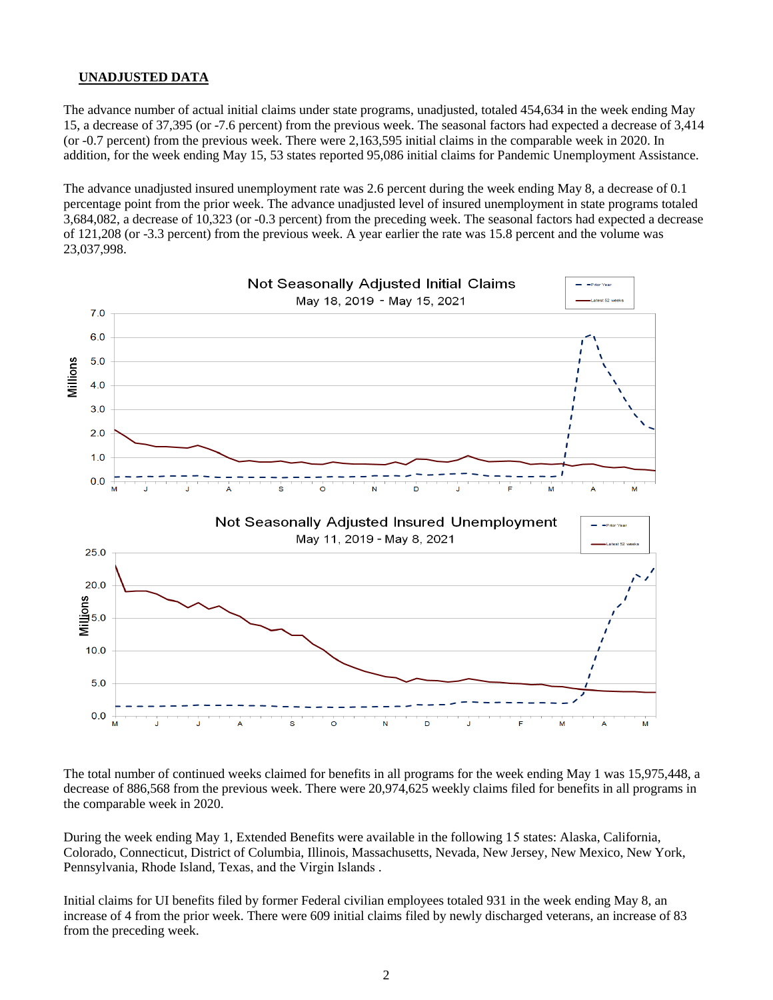### **UNADJUSTED DATA**

The advance number of actual initial claims under state programs, unadjusted, totaled 454,634 in the week ending May 15, a decrease of 37,395 (or -7.6 percent) from the previous week. The seasonal factors had expected a decrease of 3,414 (or -0.7 percent) from the previous week. There were 2,163,595 initial claims in the comparable week in 2020. In addition, for the week ending May 15, 53 states reported 95,086 initial claims for Pandemic Unemployment Assistance.

The advance unadjusted insured unemployment rate was 2.6 percent during the week ending May 8, a decrease of 0.1 percentage point from the prior week. The advance unadjusted level of insured unemployment in state programs totaled 3,684,082, a decrease of 10,323 (or -0.3 percent) from the preceding week. The seasonal factors had expected a decrease of 121,208 (or -3.3 percent) from the previous week. A year earlier the rate was 15.8 percent and the volume was 23,037,998.



The total number of continued weeks claimed for benefits in all programs for the week ending May 1 was 15,975,448, a decrease of 886,568 from the previous week. There were 20,974,625 weekly claims filed for benefits in all programs in the comparable week in 2020.

During the week ending May 1, Extended Benefits were available in the following 15 states: Alaska, California, Colorado, Connecticut, District of Columbia, Illinois, Massachusetts, Nevada, New Jersey, New Mexico, New York, Pennsylvania, Rhode Island, Texas, and the Virgin Islands .

Initial claims for UI benefits filed by former Federal civilian employees totaled 931 in the week ending May 8, an increase of 4 from the prior week. There were 609 initial claims filed by newly discharged veterans, an increase of 83 from the preceding week.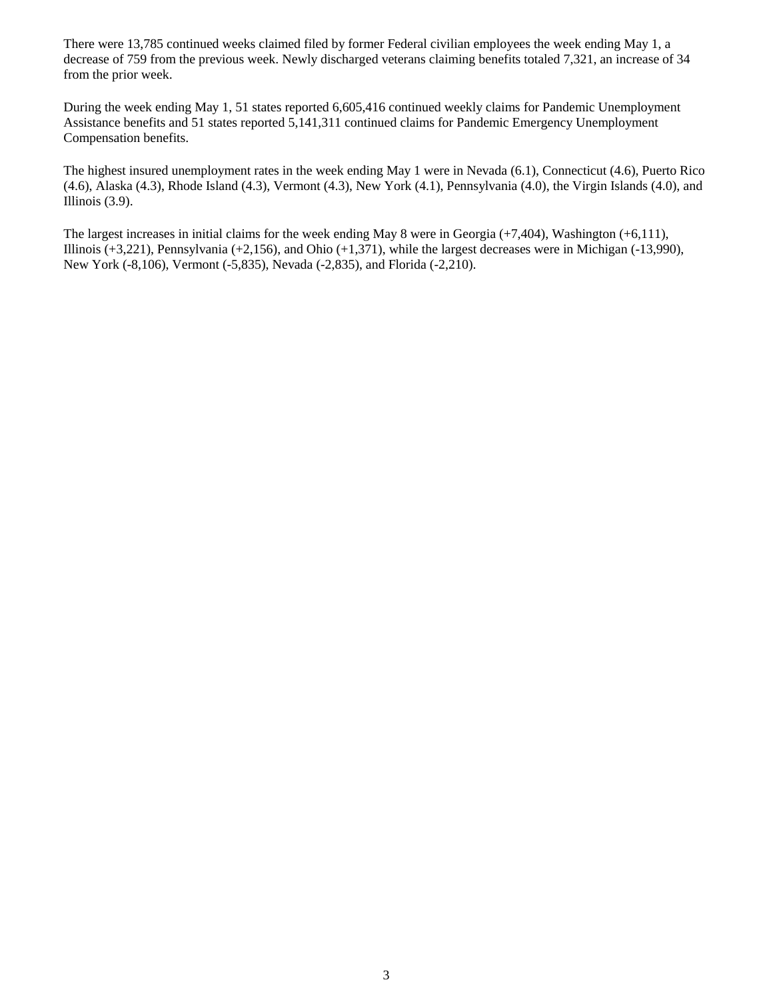There were 13,785 continued weeks claimed filed by former Federal civilian employees the week ending May 1, a decrease of 759 from the previous week. Newly discharged veterans claiming benefits totaled 7,321, an increase of 34 from the prior week.

During the week ending May 1, 51 states reported 6,605,416 continued weekly claims for Pandemic Unemployment Assistance benefits and 51 states reported 5,141,311 continued claims for Pandemic Emergency Unemployment Compensation benefits.

The highest insured unemployment rates in the week ending May 1 were in Nevada (6.1), Connecticut (4.6), Puerto Rico (4.6), Alaska (4.3), Rhode Island (4.3), Vermont (4.3), New York (4.1), Pennsylvania (4.0), the Virgin Islands (4.0), and Illinois (3.9).

The largest increases in initial claims for the week ending May 8 were in Georgia (+7,404), Washington (+6,111), Illinois (+3,221), Pennsylvania (+2,156), and Ohio (+1,371), while the largest decreases were in Michigan (-13,990), New York (-8,106), Vermont (-5,835), Nevada (-2,835), and Florida (-2,210).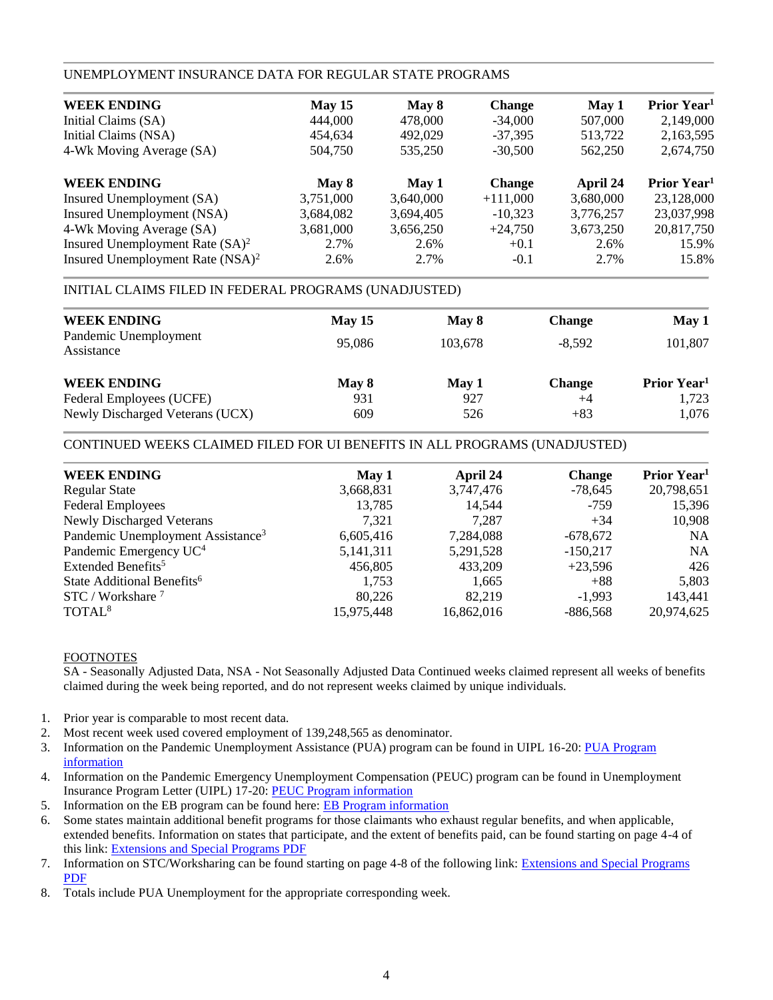### UNEMPLOYMENT INSURANCE DATA FOR REGULAR STATE PROGRAMS

| May 15    | May 8     | <b>Change</b> | May 1     | Prior Year <sup>1</sup> |
|-----------|-----------|---------------|-----------|-------------------------|
| 444,000   | 478,000   | $-34,000$     | 507,000   | 2,149,000               |
| 454.634   | 492,029   | $-37.395$     | 513,722   | 2,163,595               |
| 504,750   | 535,250   | $-30.500$     | 562,250   | 2,674,750               |
| May 8     | May 1     | <b>Change</b> | April 24  | Prior Year <sup>1</sup> |
| 3,751,000 | 3,640,000 | $+111,000$    | 3,680,000 | 23,128,000              |
| 3,684,082 | 3,694,405 | $-10,323$     | 3,776,257 | 23,037,998              |
| 3,681,000 | 3,656,250 | $+24,750$     | 3,673,250 | 20,817,750              |
| 2.7%      | 2.6%      | $+0.1$        | 2.6%      | 15.9%                   |
| 2.6%      | 2.7%      | $-0.1$        | 2.7%      | 15.8%                   |
|           |           |               |           |                         |

### INITIAL CLAIMS FILED IN FEDERAL PROGRAMS (UNADJUSTED)

| <b>WEEK ENDING</b><br>Pandemic Unemployment | <b>May 15</b> | May 8   | <b>Change</b> | May 1                   |
|---------------------------------------------|---------------|---------|---------------|-------------------------|
| Assistance                                  | 95,086        | 103,678 | $-8.592$      | 101,807                 |
| <b>WEEK ENDING</b>                          | May 8         | May 1   | <b>Change</b> | Prior Year <sup>1</sup> |
| Federal Employees (UCFE)                    | 931           | 927     | $+4$          | 1,723                   |
| Newly Discharged Veterans (UCX)             | 609           | 526     | $+83$         | 1,076                   |

### CONTINUED WEEKS CLAIMED FILED FOR UI BENEFITS IN ALL PROGRAMS (UNADJUSTED)

| <b>WEEK ENDING</b>                            | May 1      | April 24   | <b>Change</b> | Prior Year <sup>1</sup> |
|-----------------------------------------------|------------|------------|---------------|-------------------------|
| <b>Regular State</b>                          | 3,668,831  | 3,747,476  | $-78,645$     | 20,798,651              |
| <b>Federal Employees</b>                      | 13,785     | 14.544     | $-759$        | 15,396                  |
| Newly Discharged Veterans                     | 7.321      | 7.287      | $+34$         | 10,908                  |
| Pandemic Unemployment Assistance <sup>3</sup> | 6,605,416  | 7,284,088  | $-678,672$    | <b>NA</b>               |
| Pandemic Emergency UC <sup>4</sup>            | 5,141,311  | 5,291,528  | $-150,217$    | <b>NA</b>               |
| Extended Benefits <sup>5</sup>                | 456,805    | 433,209    | $+23,596$     | 426                     |
| State Additional Benefits <sup>6</sup>        | 1,753      | 1,665      | $+88$         | 5,803                   |
| $STC / Workshare$ <sup>7</sup>                | 80.226     | 82.219     | $-1.993$      | 143,441                 |
| TOTAL <sup>8</sup>                            | 15,975,448 | 16,862,016 | $-886,568$    | 20,974,625              |
|                                               |            |            |               |                         |

### FOOTNOTES

SA - Seasonally Adjusted Data, NSA - Not Seasonally Adjusted Data Continued weeks claimed represent all weeks of benefits claimed during the week being reported, and do not represent weeks claimed by unique individuals.

- 1. Prior year is comparable to most recent data.
- 2. Most recent week used covered employment of 139,248,565 as denominator.
- 3. Information on the Pandemic Unemployment Assistance (PUA) program can be found in UIPL 16-20: PUA Program [information](https://wdr.doleta.gov/directives/corr_doc.cfm?DOCN=4628)
- 4. Information on the Pandemic Emergency Unemployment Compensation (PEUC) program can be found in Unemployment Insurance Program Letter (UIPL) 17-20: [PEUC Program information](https://wdr.doleta.gov/directives/corr_doc.cfm?DOCN=8452)
- 5. Information on the EB program can be found here: **EB Program information**
- 6. Some states maintain additional benefit programs for those claimants who exhaust regular benefits, and when applicable, extended benefits. Information on states that participate, and the extent of benefits paid, can be found starting on page 4-4 of this link: [Extensions and Special Programs PDF](https://oui.doleta.gov/unemploy/pdf/uilawcompar/2020/special.pdf#page=4)
- 7. Information on STC/Worksharing can be found starting on page 4-8 of the following link: [Extensions and Special Programs](https://oui.doleta.gov/unemploy/pdf/uilawcompar/2019/special.pdf#page=8)  [PDF](https://oui.doleta.gov/unemploy/pdf/uilawcompar/2019/special.pdf#page=8)
- 8. Totals include PUA Unemployment for the appropriate corresponding week.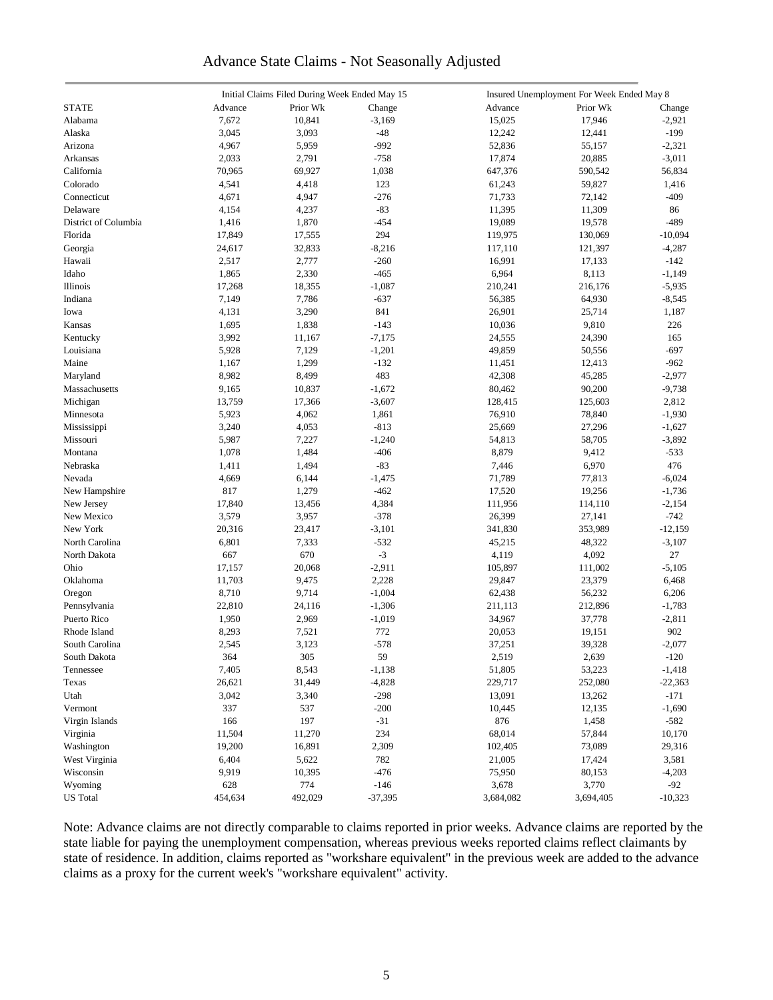### Advance State Claims - Not Seasonally Adjusted

|                      |         | Initial Claims Filed During Week Ended May 15 |           |           | Insured Unemployment For Week Ended May 8 |           |
|----------------------|---------|-----------------------------------------------|-----------|-----------|-------------------------------------------|-----------|
| <b>STATE</b>         | Advance | Prior Wk                                      | Change    | Advance   | Prior Wk                                  | Change    |
| Alabama              | 7,672   | 10,841                                        | $-3,169$  | 15,025    | 17,946                                    | $-2,921$  |
| Alaska               | 3,045   | 3,093                                         | $-48$     | 12,242    | 12,441                                    | $-199$    |
| Arizona              | 4,967   | 5,959                                         | $-992$    | 52,836    | 55,157                                    | $-2,321$  |
| Arkansas             | 2,033   | 2,791                                         | $-758$    | 17,874    | 20,885                                    | $-3,011$  |
| California           | 70,965  | 69,927                                        | 1,038     | 647,376   | 590,542                                   | 56,834    |
| Colorado             | 4,541   | 4,418                                         | 123       | 61,243    | 59,827                                    | 1,416     |
| Connecticut          | 4,671   | 4,947                                         | $-276$    | 71,733    | 72,142                                    | $-409$    |
| Delaware             |         |                                               | $-83$     |           |                                           |           |
|                      | 4,154   | 4,237                                         |           | 11,395    | 11,309                                    | 86        |
| District of Columbia | 1,416   | 1,870                                         | $-454$    | 19,089    | 19,578                                    | $-489$    |
| Florida              | 17,849  | 17,555                                        | 294       | 119,975   | 130,069                                   | $-10,094$ |
| Georgia              | 24,617  | 32,833                                        | $-8,216$  | 117,110   | 121,397                                   | $-4,287$  |
| Hawaii               | 2,517   | 2,777                                         | $-260$    | 16,991    | 17,133                                    | $-142$    |
| Idaho                | 1,865   | 2,330                                         | $-465$    | 6,964     | 8,113                                     | $-1,149$  |
| Illinois             | 17,268  | 18,355                                        | $-1,087$  | 210,241   | 216,176                                   | $-5,935$  |
| Indiana              | 7,149   | 7,786                                         | $-637$    | 56,385    | 64,930                                    | $-8,545$  |
| Iowa                 | 4,131   | 3,290                                         | 841       | 26,901    | 25,714                                    | 1,187     |
| Kansas               | 1,695   | 1,838                                         | $-143$    | 10,036    | 9,810                                     | 226       |
| Kentucky             | 3,992   | 11,167                                        | $-7,175$  | 24,555    | 24,390                                    | 165       |
| Louisiana            | 5,928   | 7,129                                         | $-1,201$  | 49,859    | 50,556                                    | $-697$    |
| Maine                | 1,167   | 1,299                                         | $-132$    | 11,451    | 12,413                                    | $-962$    |
| Maryland             | 8,982   | 8,499                                         | 483       | 42,308    | 45,285                                    | $-2,977$  |
| Massachusetts        | 9,165   | 10,837                                        | $-1,672$  | 80,462    | 90,200                                    | $-9,738$  |
| Michigan             | 13,759  | 17,366                                        | $-3,607$  | 128,415   | 125,603                                   | 2,812     |
| Minnesota            | 5,923   | 4,062                                         | 1,861     | 76,910    | 78,840                                    | $-1,930$  |
| Mississippi          | 3,240   | 4,053                                         | $-813$    | 25,669    | 27,296                                    | $-1,627$  |
| Missouri             | 5,987   | 7,227                                         | $-1,240$  | 54,813    | 58,705                                    | $-3,892$  |
| Montana              | 1,078   | 1,484                                         | $-406$    | 8,879     | 9,412                                     | $-533$    |
| Nebraska             | 1,411   | 1,494                                         | $-83$     | 7,446     | 6,970                                     | 476       |
| Nevada               | 4,669   | 6,144                                         | $-1,475$  | 71,789    | 77,813                                    | $-6,024$  |
| New Hampshire        | 817     | 1,279                                         | $-462$    | 17,520    | 19,256                                    | $-1,736$  |
| New Jersey           | 17,840  | 13,456                                        | 4,384     | 111,956   | 114,110                                   | $-2,154$  |
| New Mexico           | 3,579   | 3,957                                         | $-378$    | 26,399    | 27,141                                    | $-742$    |
| New York             |         |                                               |           |           |                                           |           |
|                      | 20,316  | 23,417                                        | $-3,101$  | 341,830   | 353,989                                   | $-12,159$ |
| North Carolina       | 6,801   | 7,333                                         | $-532$    | 45,215    | 48,322                                    | $-3,107$  |
| North Dakota         | 667     | 670                                           | $-3$      | 4,119     | 4,092                                     | 27        |
| Ohio                 | 17,157  | 20,068                                        | $-2,911$  | 105,897   | 111,002                                   | $-5,105$  |
| Oklahoma             | 11,703  | 9,475                                         | 2,228     | 29,847    | 23,379                                    | 6,468     |
| Oregon               | 8,710   | 9,714                                         | $-1,004$  | 62,438    | 56,232                                    | 6,206     |
| Pennsylvania         | 22,810  | 24,116                                        | $-1,306$  | 211,113   | 212,896                                   | $-1,783$  |
| Puerto Rico          | 1,950   | 2,969                                         | $-1,019$  | 34,967    | 37,778                                    | $-2,811$  |
| Rhode Island         | 8,293   | 7,521                                         | 772       | 20,053    | 19,151                                    | 902       |
| South Carolina       | 2,545   | 3,123                                         | $-578$    | 37,251    | 39,328                                    | $-2,077$  |
| South Dakota         | 364     | $305\,$                                       | 59        | 2,519     | 2,639                                     | $-120$    |
| Tennessee            | 7,405   | 8,543                                         | $-1,138$  | 51,805    | 53,223                                    | $-1,418$  |
| Texas                | 26,621  | 31,449                                        | $-4,828$  | 229,717   | 252,080                                   | $-22,363$ |
| Utah                 | 3,042   | 3,340                                         | $-298$    | 13,091    | 13,262                                    | $-171$    |
| Vermont              | 337     | 537                                           | $-200$    | 10,445    | 12,135                                    | $-1,690$  |
| Virgin Islands       | 166     | 197                                           | $-31$     | 876       | 1,458                                     | $-582$    |
| Virginia             | 11,504  | 11,270                                        | 234       | 68,014    | 57,844                                    | 10,170    |
| Washington           | 19,200  | 16,891                                        | 2,309     | 102,405   | 73,089                                    | 29,316    |
| West Virginia        | 6,404   | 5,622                                         | 782       | 21,005    | 17,424                                    | 3,581     |
| Wisconsin            | 9,919   | 10,395                                        | $-476$    | 75,950    | 80,153                                    | $-4,203$  |
| Wyoming              | 628     | 774                                           | $-146$    | 3,678     | 3,770                                     | $-92$     |
| <b>US</b> Total      | 454,634 | 492,029                                       | $-37,395$ | 3,684,082 | 3,694,405                                 | $-10,323$ |
|                      |         |                                               |           |           |                                           |           |

Note: Advance claims are not directly comparable to claims reported in prior weeks. Advance claims are reported by the state liable for paying the unemployment compensation, whereas previous weeks reported claims reflect claimants by state of residence. In addition, claims reported as "workshare equivalent" in the previous week are added to the advance claims as a proxy for the current week's "workshare equivalent" activity.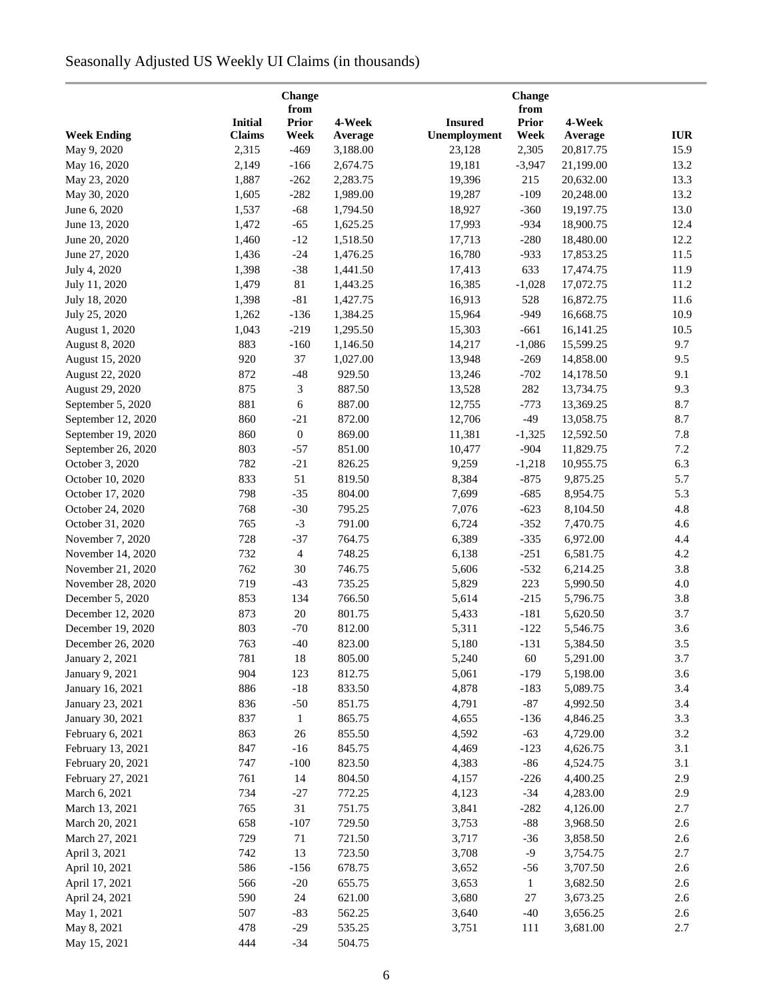# Seasonally Adjusted US Weekly UI Claims (in thousands)

|                                        |                | Change<br>from       |                  |                | <b>Change</b><br>from |                      |            |
|----------------------------------------|----------------|----------------------|------------------|----------------|-----------------------|----------------------|------------|
|                                        | <b>Initial</b> | <b>Prior</b>         | 4-Week           | <b>Insured</b> | <b>Prior</b>          | 4-Week               |            |
| <b>Week Ending</b>                     | <b>Claims</b>  | Week                 | Average          | Unemployment   | Week                  | Average              | <b>IUR</b> |
| May 9, 2020                            | 2,315          | $-469$               | 3,188.00         | 23,128         | 2,305                 | 20,817.75            | 15.9       |
| May 16, 2020                           | 2,149          | $-166$               | 2,674.75         | 19,181         | $-3,947$              | 21,199.00            | 13.2       |
| May 23, 2020                           | 1,887          | $-262$               | 2,283.75         | 19,396         | 215                   | 20,632.00            | 13.3       |
| May 30, 2020                           | 1,605          | $-282$               | 1,989.00         | 19,287         | $-109$                | 20,248.00            | 13.2       |
| June 6, 2020                           | 1,537          | $-68$                | 1,794.50         | 18,927         | $-360$                | 19,197.75            | 13.0       |
| June 13, 2020                          | 1,472          | $-65$                | 1,625.25         | 17,993         | $-934$                | 18,900.75            | 12.4       |
| June 20, 2020                          | 1,460          | $-12$                | 1,518.50         | 17,713         | $-280$                | 18,480.00            | 12.2       |
| June 27, 2020                          | 1,436          | $-24$                | 1,476.25         | 16,780         | $-933$                | 17,853.25            | 11.5       |
| July 4, 2020                           | 1,398          | $-38$                | 1,441.50         | 17,413         | 633                   | 17,474.75            | 11.9       |
| July 11, 2020                          | 1,479          | 81                   | 1,443.25         | 16,385         | $-1,028$              | 17,072.75            | 11.2       |
| July 18, 2020                          | 1,398          | $-81$                | 1,427.75         | 16,913         | 528                   | 16,872.75            | 11.6       |
| July 25, 2020                          | 1,262          | $-136$               | 1,384.25         | 15,964         | $-949$                | 16,668.75            | 10.9       |
| August 1, 2020                         | 1,043          | $-219$               | 1,295.50         | 15,303         | $-661$                | 16,141.25            | 10.5       |
| <b>August 8, 2020</b>                  | 883            | $-160$               | 1,146.50         | 14,217         | $-1,086$              | 15,599.25            | 9.7        |
| August 15, 2020                        | 920            | 37                   | 1,027.00         | 13,948         | $-269$                | 14,858.00            | 9.5        |
| August 22, 2020                        | 872            | $-48$                | 929.50           | 13,246         | $-702$                | 14,178.50            | 9.1        |
| August 29, 2020                        | 875            | 3                    | 887.50           | 13,528         | 282                   | 13,734.75            | 9.3        |
| September 5, 2020                      | 881            | $\sqrt{6}$           | 887.00           | 12,755         | $-773$                | 13,369.25            | 8.7        |
| September 12, 2020                     | 860            | $-21$                | 872.00           | 12,706         | $-49$                 | 13,058.75            | 8.7        |
| September 19, 2020                     | 860            | $\boldsymbol{0}$     | 869.00           | 11,381         | $-1,325$              | 12,592.50            | 7.8        |
| September 26, 2020                     | 803            | $-57$                | 851.00           | 10,477         | $-904$                | 11,829.75            | 7.2        |
| October 3, 2020                        | 782            | $-21$                | 826.25           | 9,259          | $-1,218$              | 10,955.75            | 6.3        |
| October 10, 2020                       | 833            | 51                   | 819.50           | 8,384          | $-875$                | 9,875.25             | 5.7        |
|                                        | 798            | $-35$                | 804.00           | 7,699          | $-685$                | 8,954.75             | 5.3        |
| October 17, 2020<br>October 24, 2020   | 768            | $-30$                | 795.25           | 7,076          | $-623$                | 8,104.50             | 4.8        |
|                                        | 765            | $-3$                 | 791.00           | 6,724          |                       |                      |            |
| October 31, 2020<br>November 7, 2020   | 728            | $-37$                | 764.75           | 6,389          | $-352$<br>$-335$      | 7,470.75<br>6,972.00 | 4.6<br>4.4 |
|                                        | 732            |                      | 748.25           |                |                       | 6,581.75             | 4.2        |
| November 14, 2020<br>November 21, 2020 | 762            | $\overline{4}$<br>30 | 746.75           | 6,138<br>5,606 | $-251$                | 6,214.25             | 3.8        |
| November 28, 2020                      | 719            |                      | 735.25           | 5,829          | $-532$<br>223         |                      | 4.0        |
|                                        | 853            | $-43$                | 766.50           |                |                       | 5,990.50             | 3.8        |
| December 5, 2020                       |                | 134                  |                  | 5,614          | $-215$                | 5,796.75             |            |
| December 12, 2020                      | 873            | $20\,$               | 801.75<br>812.00 | 5,433          | $-181$                | 5,620.50             | 3.7        |
| December 19, 2020                      | 803            | $-70$                |                  | 5,311          | $-122$                | 5,546.75             | 3.6        |
| December 26, 2020                      | 763            | $-40$                | 823.00           | 5,180          | $-131$                | 5,384.50             | 3.5        |
| January 2, 2021                        | 781            | 18                   | 805.00           | 5,240          | 60                    | 5,291.00             | 3.7        |
| January 9, 2021                        | 904            | 123                  | 812.75           | 5,061          | $-179$                | 5,198.00             | 3.6        |
| January 16, 2021                       | 886            | $-18$                | 833.50           | 4,878          | $-183$                | 5,089.75             | 3.4        |
| January 23, 2021                       | 836            | $-50$                | 851.75           | 4,791          | $-87$                 | 4,992.50             | 3.4        |
| January 30, 2021                       | 837            | $\mathbf{1}$         | 865.75           | 4,655          | $-136$                | 4,846.25             | 3.3        |
| February 6, 2021                       | 863            | 26                   | 855.50           | 4,592          | $-63$                 | 4,729.00             | 3.2        |
| February 13, 2021                      | 847            | $-16$                | 845.75           | 4,469          | $-123$                | 4,626.75             | 3.1        |
| February 20, 2021                      | 747            | $-100$               | 823.50           | 4,383          | $-86$                 | 4,524.75             | 3.1        |
| February 27, 2021                      | 761            | 14                   | 804.50           | 4,157          | $-226$                | 4,400.25             | 2.9        |
| March 6, 2021                          | 734            | $-27$                | 772.25           | 4,123          | $-34$                 | 4,283.00             | 2.9        |
| March 13, 2021                         | 765            | 31                   | 751.75           | 3,841          | $-282$                | 4,126.00             | 2.7        |
| March 20, 2021                         | 658            | $-107$               | 729.50           | 3,753          | $-88$                 | 3,968.50             | 2.6        |
| March 27, 2021                         | 729            | 71                   | 721.50           | 3,717          | $-36$                 | 3,858.50             | 2.6        |
| April 3, 2021                          | 742            | 13                   | 723.50           | 3,708          | $-9$                  | 3,754.75             | 2.7        |
| April 10, 2021                         | 586            | $-156$               | 678.75           | 3,652          | $-56$                 | 3,707.50             | 2.6        |
| April 17, 2021                         | 566            | $-20$                | 655.75           | 3,653          | $\mathbf{1}$          | 3,682.50             | 2.6        |
| April 24, 2021                         | 590            | 24                   | 621.00           | 3,680          | $27\,$                | 3,673.25             | 2.6        |
| May 1, 2021                            | 507            | $-83$                | 562.25           | 3,640          | $-40$                 | 3,656.25             | 2.6        |
| May 8, 2021                            | 478            | $-29$                | 535.25           | 3,751          | 111                   | 3,681.00             | 2.7        |
| May 15, 2021                           | 444            | $-34$                | 504.75           |                |                       |                      |            |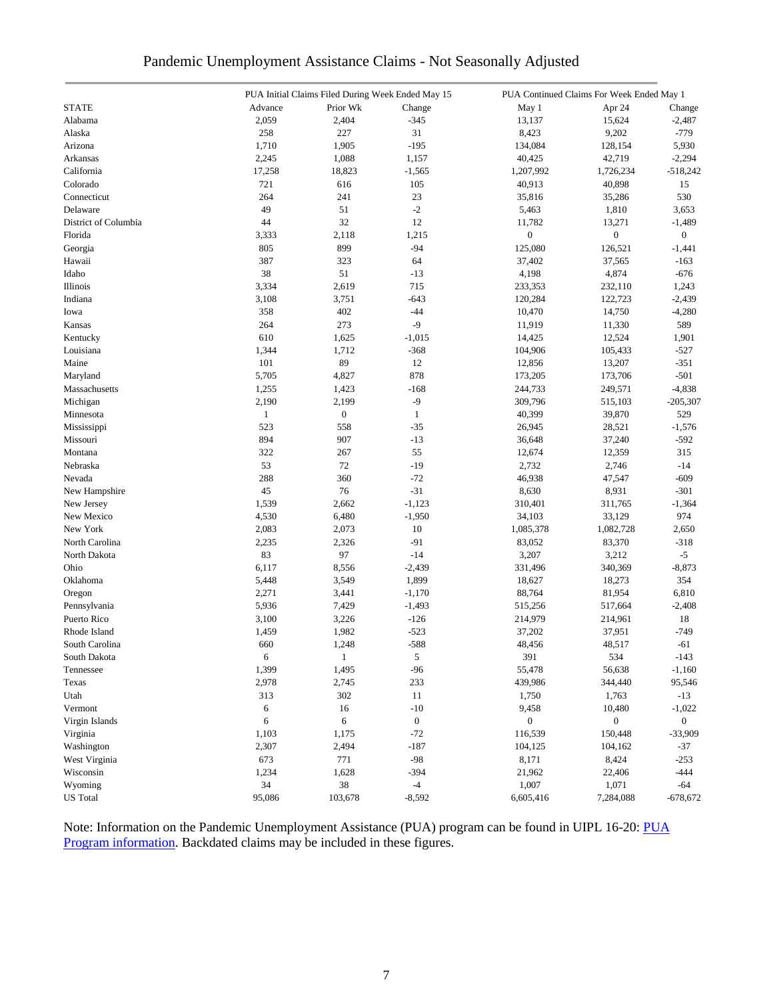| Pandemic Unemployment Assistance Claims - Not Seasonally Adjusted |  |  |  |
|-------------------------------------------------------------------|--|--|--|
|                                                                   |  |  |  |

|                      |              | PUA Initial Claims Filed During Week Ended May 15 |                  | PUA Continued Claims For Week Ended May 1 |                  |                  |
|----------------------|--------------|---------------------------------------------------|------------------|-------------------------------------------|------------------|------------------|
| <b>STATE</b>         | Advance      | Prior Wk                                          | Change           | May 1                                     | Apr 24           | Change           |
| Alabama              | 2,059        | 2,404                                             | $-345$           | 13,137                                    | 15,624           | $-2,487$         |
| Alaska               | 258          | 227                                               | 31               | 8,423                                     | 9,202            | $-779$           |
| Arizona              | 1,710        | 1,905                                             | $-195$           | 134,084                                   | 128,154          | 5,930            |
| Arkansas             | 2,245        | 1,088                                             | 1,157            | 40,425                                    | 42,719           | $-2,294$         |
| California           | 17,258       | 18,823                                            | $-1,565$         | 1,207,992                                 | 1,726,234        | $-518,242$       |
| Colorado             | 721          | 616                                               | 105              | 40,913                                    | 40,898           | 15               |
| Connecticut          | 264          | 241                                               | 23               | 35,816                                    | 35,286           | 530              |
| Delaware             | 49           | 51                                                | $-2$             | 5,463                                     | 1,810            | 3,653            |
| District of Columbia | 44           | 32                                                | 12               | 11,782                                    | 13,271           | $-1,489$         |
| Florida              | 3,333        | 2,118                                             | 1,215            | $\boldsymbol{0}$                          | $\boldsymbol{0}$ | $\boldsymbol{0}$ |
| Georgia              | 805          | 899                                               | $-94$            | 125,080                                   | 126,521          | $-1,441$         |
| Hawaii               | 387          | 323                                               | 64               | 37,402                                    | 37,565           | $-163$           |
| Idaho                | 38           | 51                                                | $-13$            | 4,198                                     | 4,874            | $-676$           |
| Illinois             | 3,334        | 2,619                                             | 715              | 233,353                                   | 232,110          | 1,243            |
| Indiana              | 3,108        | 3,751                                             | $-643$           | 120,284                                   | 122,723          | $-2,439$         |
|                      |              | 402                                               |                  |                                           |                  |                  |
| Iowa                 | 358          |                                                   | $-44$<br>$-9$    | 10,470                                    | 14,750           | $-4,280$         |
| Kansas               | 264          | 273                                               |                  | 11,919                                    | 11,330           | 589              |
| Kentucky             | 610          | 1,625                                             | $-1,015$         | 14,425                                    | 12,524           | 1,901            |
| Louisiana            | 1,344        | 1,712                                             | $-368$           | 104,906                                   | 105,433          | $-527$           |
| Maine                | 101          | 89                                                | 12               | 12,856                                    | 13,207           | $-351$           |
| Maryland             | 5,705        | 4,827                                             | 878              | 173,205                                   | 173,706          | $-501$           |
| Massachusetts        | 1,255        | 1,423                                             | $-168$           | 244,733                                   | 249,571          | $-4,838$         |
| Michigan             | 2,190        | 2,199                                             | $-9$             | 309,796                                   | 515,103          | $-205,307$       |
| Minnesota            | $\mathbf{1}$ | $\boldsymbol{0}$                                  | $\mathbf{1}$     | 40,399                                    | 39,870           | 529              |
| Mississippi          | 523          | 558                                               | $-35$            | 26,945                                    | 28,521           | $-1,576$         |
| Missouri             | 894          | 907                                               | $-13$            | 36,648                                    | 37,240           | $-592$           |
| Montana              | 322          | 267                                               | 55               | 12,674                                    | 12,359           | 315              |
| Nebraska             | 53           | 72                                                | $-19$            | 2,732                                     | 2,746            | $-14$            |
| Nevada               | 288          | 360                                               | $-72$            | 46,938                                    | 47,547           | $-609$           |
| New Hampshire        | 45           | 76                                                | $-31$            | 8,630                                     | 8,931            | $-301$           |
| New Jersey           | 1,539        | 2,662                                             | $-1,123$         | 310,401                                   | 311,765          | $-1,364$         |
| New Mexico           | 4,530        | 6,480                                             | $-1,950$         | 34,103                                    | 33,129           | 974              |
| New York             | 2,083        | 2,073                                             | 10               | 1,085,378                                 | 1,082,728        | 2,650            |
| North Carolina       | 2,235        | 2,326                                             | $-91$            | 83,052                                    | 83,370           | $-318$           |
| North Dakota         | 83           | 97                                                | $-14$            | 3,207                                     | 3,212            | $-5$             |
| Ohio                 | 6,117        | 8,556                                             | $-2,439$         | 331,496                                   | 340,369          | $-8,873$         |
| Oklahoma             | 5,448        | 3,549                                             | 1,899            | 18,627                                    | 18,273           | 354              |
| Oregon               | 2,271        | 3,441                                             | $-1,170$         | 88,764                                    | 81,954           | 6,810            |
| Pennsylvania         | 5,936        | 7,429                                             | $-1,493$         | 515,256                                   | 517,664          | $-2,408$         |
| Puerto Rico          | 3,100        | 3,226                                             | $-126$           | 214,979                                   | 214,961          | 18               |
| Rhode Island         | 1,459        | 1,982                                             | $-523$           | 37,202                                    | 37,951           | $-749$           |
| South Carolina       | 660          | 1,248                                             | $-588$           | 48,456                                    | 48,517           | $-61$            |
| South Dakota         | 6            | $\mathbf{1}$                                      | 5                | 391                                       | 534              | $-143$           |
| Tennessee            | 1,399        | 1,495                                             | $-96$            | 55,478                                    | 56,638           | $-1,160$         |
| Texas                | 2,978        | 2,745                                             | 233              | 439,986                                   | 344,440          | 95,546           |
| Utah                 | 313          | 302                                               | 11               | 1,750                                     | 1,763            | $-13$            |
| Vermont              | 6            | 16                                                | $-10$            | 9,458                                     | 10,480           | $-1,022$         |
| Virgin Islands       | 6            | 6                                                 | $\boldsymbol{0}$ | $\boldsymbol{0}$                          | $\boldsymbol{0}$ | $\boldsymbol{0}$ |
| Virginia             | 1,103        | 1,175                                             | $-72$            | 116,539                                   | 150,448          | $-33,909$        |
| Washington           | 2,307        | 2,494                                             | $-187$           | 104,125                                   | 104,162          | $-37$            |
| West Virginia        | 673          | 771                                               | $-98$            | 8,171                                     |                  | $-253$           |
| Wisconsin            |              |                                                   |                  |                                           | 8,424            |                  |
|                      | 1,234        | 1,628                                             | $-394$           | 21,962                                    | 22,406           | $-444$           |
| Wyoming              | 34           | 38                                                | $-4$             | 1,007                                     | 1,071            | $-64$            |
| <b>US</b> Total      | 95,086       | 103,678                                           | $-8,592$         | 6,605,416                                 | 7,284,088        | $-678,672$       |

Note: Information on the Pandemic Unemployment Assistance (PUA) program can be found in UIPL 16-20: PUA [Program information.](https://wdr.doleta.gov/directives/corr_doc.cfm?DOCN=4628) Backdated claims may be included in these figures.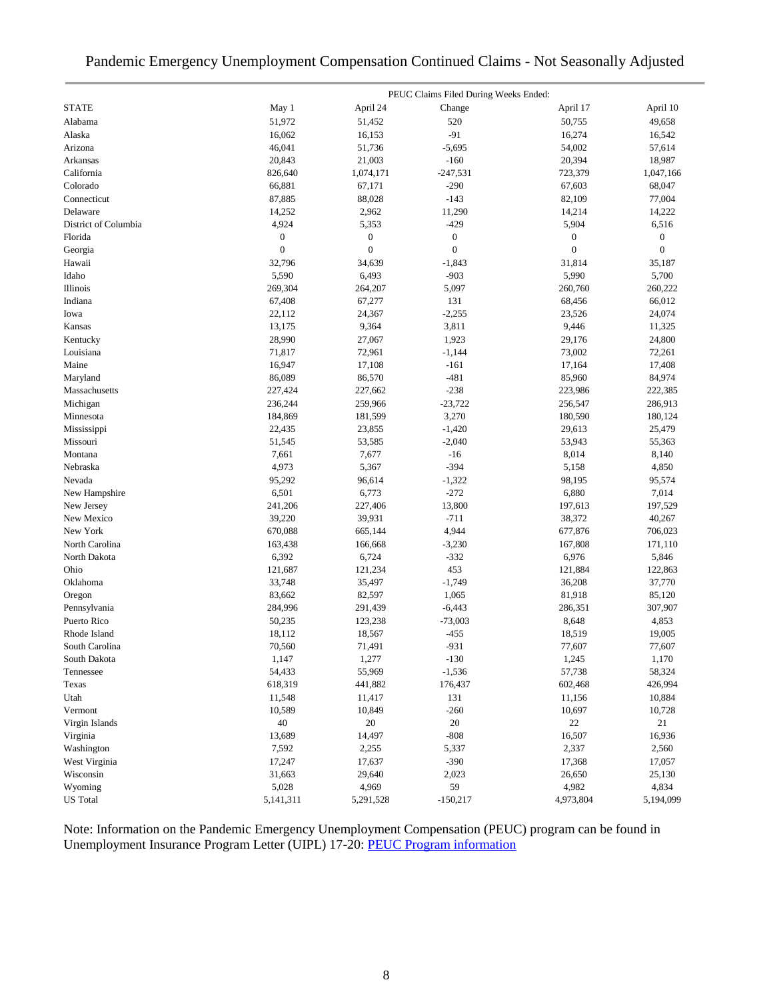### Pandemic Emergency Unemployment Compensation Continued Claims - Not Seasonally Adjusted

|                      |                  |                  | PEUC Claims Filed During Weeks Ended: |                  |                  |
|----------------------|------------------|------------------|---------------------------------------|------------------|------------------|
| <b>STATE</b>         | May 1            | April 24         | Change                                | April 17         | April 10         |
| Alabama              | 51,972           | 51,452           | 520                                   | 50,755           | 49,658           |
| Alaska               | 16,062           | 16,153           | $-91$                                 | 16,274           | 16,542           |
| Arizona              | 46,041           | 51,736           | $-5,695$                              | 54,002           | 57,614           |
| Arkansas             | 20,843           | 21,003           | $-160$                                | 20,394           | 18,987           |
| California           | 826,640          | 1,074,171        | $-247,531$                            | 723,379          | 1,047,166        |
| Colorado             | 66,881           | 67,171           | $-290$                                | 67,603           | 68,047           |
| Connecticut          | 87,885           | 88,028           | $-143$                                | 82,109           | 77,004           |
| Delaware             | 14,252           | 2,962            | 11,290                                | 14,214           | 14,222           |
| District of Columbia | 4,924            | 5,353            | $-429$                                | 5,904            | 6,516            |
| Florida              | $\boldsymbol{0}$ | $\boldsymbol{0}$ | $\boldsymbol{0}$                      | $\boldsymbol{0}$ | $\boldsymbol{0}$ |
| Georgia              | $\mathbf{0}$     | $\boldsymbol{0}$ | $\mathbf{0}$                          | $\boldsymbol{0}$ | $\boldsymbol{0}$ |
| Hawaii               | 32,796           | 34,639           | $-1,843$                              | 31,814           | 35,187           |
| Idaho                | 5,590            | 6,493            | $-903$                                | 5,990            | 5,700            |
| Illinois             | 269,304          | 264,207          | 5,097                                 | 260,760          | 260,222          |
| Indiana              | 67,408           | 67,277           | 131                                   | 68,456           | 66,012           |
| Iowa                 | 22,112           | 24,367           | $-2,255$                              | 23,526           | 24,074           |
| Kansas               | 13,175           | 9,364            | 3,811                                 | 9,446            | 11,325           |
| Kentucky             | 28,990           | 27,067           | 1,923                                 | 29,176           | 24,800           |
| Louisiana            | 71,817           | 72,961           | $-1,144$                              | 73,002           | 72,261           |
| Maine                | 16,947           | 17,108           | $-161$                                | 17,164           | 17,408           |
| Maryland             | 86,089           | 86,570           | $-481$                                | 85,960           | 84,974           |
| Massachusetts        | 227,424          | 227,662          | $-238$                                | 223,986          | 222,385          |
| Michigan             | 236,244          | 259,966          | $-23,722$                             | 256,547          | 286,913          |
| Minnesota            | 184,869          | 181,599          | 3,270                                 | 180,590          | 180,124          |
| Mississippi          | 22,435           | 23,855           | $-1,420$                              | 29,613           | 25,479           |
| Missouri             | 51,545           | 53,585           | $-2,040$                              | 53,943           | 55,363           |
| Montana              | 7,661            | 7,677            | $-16$                                 | 8,014            | 8,140            |
| Nebraska             | 4,973            | 5,367            | $-394$                                | 5,158            | 4,850            |
| Nevada               | 95,292           | 96,614           | $-1,322$                              | 98,195           | 95,574           |
| New Hampshire        | 6,501            | 6,773            | $-272$                                | 6,880            | 7,014            |
| New Jersey           | 241,206          | 227,406          | 13,800                                | 197,613          | 197,529          |
| New Mexico           | 39,220           | 39,931           | $-711$                                | 38,372           | 40,267           |
| New York             | 670,088          | 665,144          | 4,944                                 | 677,876          | 706,023          |
| North Carolina       | 163,438          | 166,668          | $-3,230$                              | 167,808          | 171,110          |
| North Dakota         | 6,392            | 6,724            | $-332$                                | 6,976            | 5,846            |
| Ohio                 | 121,687          | 121,234          | 453                                   | 121,884          | 122,863          |
| Oklahoma             | 33,748           | 35,497           | $-1,749$                              | 36,208           | 37,770           |
| Oregon               | 83,662           | 82,597           | 1,065                                 | 81,918           | 85,120           |
| Pennsylvania         | 284,996          | 291,439          | $-6,443$                              | 286,351          | 307,907          |
| Puerto Rico          | 50,235           | 123,238          | $-73,003$                             | 8,648            | 4,853            |
| Rhode Island         | 18,112           | 18,567           | $-455$                                | 18,519           | 19,005           |
| South Carolina       | 70,560           | 71,491           | $-931$                                | 77,607           | 77,607           |
| South Dakota         | 1,147            | 1,277            | $-130$                                | 1,245            | 1,170            |
| Tennessee            | 54,433           | 55,969           | $-1,536$                              | 57,738           | 58,324           |
| Texas                | 618,319          | 441,882          | 176,437                               | 602,468          | 426,994          |
| Utah                 | 11,548           | 11,417           | 131                                   | 11,156           | 10,884           |
| Vermont              | 10,589           | 10,849           | $-260$                                | 10,697           | 10,728           |
| Virgin Islands       | 40               | $20\,$           | 20                                    | $22\,$           | 21               |
| Virginia             | 13,689           | 14,497           | $-808$                                | 16,507           | 16,936           |
| Washington           | 7,592            | 2,255            | 5,337                                 | 2,337            | 2,560            |
| West Virginia        | 17,247           | 17,637           | $-390$                                | 17,368           | 17,057           |
| Wisconsin            | 31,663           | 29,640           | 2,023                                 | 26,650           | 25,130           |
| Wyoming              | 5,028            | 4,969            | 59                                    | 4,982            | 4,834            |
| <b>US</b> Total      | 5,141,311        | 5,291,528        | $-150,217$                            | 4,973,804        | 5,194,099        |

Note: Information on the Pandemic Emergency Unemployment Compensation (PEUC) program can be found in Unemployment Insurance Program Letter (UIPL) 17-20: [PEUC Program information](https://wdr.doleta.gov/directives/corr_doc.cfm?DOCN=8452)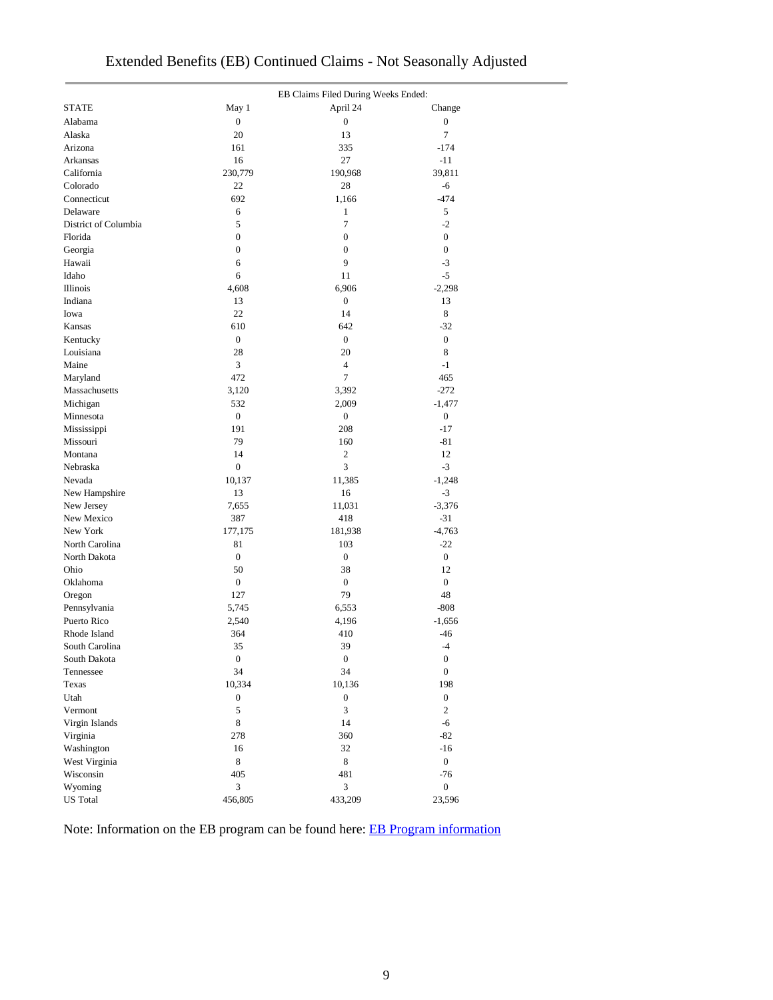|                         |                  | EB Claims Filed During Weeks Ended: |                  |  |
|-------------------------|------------------|-------------------------------------|------------------|--|
| <b>STATE</b>            | May 1            | April 24                            | Change           |  |
| Alabama                 | $\boldsymbol{0}$ | $\boldsymbol{0}$                    | $\boldsymbol{0}$ |  |
| Alaska                  | 20               | 13                                  | 7                |  |
| Arizona                 | 161              | 335                                 | $-174$           |  |
| Arkansas                | 16               | 27                                  | $-11$            |  |
| California              | 230,779          | 190,968                             | 39,811           |  |
| Colorado                | 22               | 28                                  | -6               |  |
| Connecticut             | 692              | 1,166                               | $-474$           |  |
| Delaware                | 6                | $\mathbf{1}$                        | 5                |  |
| District of Columbia    | 5                | $\tau$                              | $-2$             |  |
| Florida                 | $\boldsymbol{0}$ | $\boldsymbol{0}$                    | $\boldsymbol{0}$ |  |
| Georgia                 | $\boldsymbol{0}$ | $\boldsymbol{0}$                    | $\boldsymbol{0}$ |  |
| Hawaii                  | 6                | 9                                   | $-3$             |  |
| Idaho                   | 6                | 11                                  | $-5$             |  |
| Illinois                | 4,608            | 6,906                               | $-2,298$         |  |
| Indiana                 | 13               | $\boldsymbol{0}$                    | 13               |  |
| Iowa                    | 22               | 14                                  | 8                |  |
| Kansas                  | 610              | 642                                 | $-32$            |  |
| Kentucky                | $\boldsymbol{0}$ | $\boldsymbol{0}$                    | $\overline{0}$   |  |
| Louisiana               | 28               | 20                                  | 8                |  |
| Maine                   | 3                | $\overline{4}$                      | $-1$             |  |
| Maryland                | 472              | $\tau$                              | 465              |  |
| Massachusetts           | 3,120            | 3,392                               | $-272$           |  |
| Michigan                | 532              | 2,009                               | $-1,477$         |  |
| Minnesota               | $\boldsymbol{0}$ | $\boldsymbol{0}$                    | $\boldsymbol{0}$ |  |
|                         | 191              | 208                                 | $-17$            |  |
| Mississippi<br>Missouri | 79               | 160                                 | $-81$            |  |
| Montana                 | 14               | 2                                   | 12               |  |
|                         | $\boldsymbol{0}$ | 3                                   | $-3$             |  |
| Nebraska                |                  |                                     |                  |  |
| Nevada                  | 10,137           | 11,385                              | $-1,248$         |  |
| New Hampshire           | 13               | 16                                  | $-3$             |  |
| New Jersey              | 7,655            | 11,031                              | $-3,376$         |  |
| New Mexico              | 387              | 418                                 | $-31$            |  |
| New York                | 177,175          | 181,938                             | $-4,763$         |  |
| North Carolina          | 81               | 103                                 | $-22$            |  |
| North Dakota            | $\boldsymbol{0}$ | $\boldsymbol{0}$                    | $\overline{0}$   |  |
| Ohio                    | 50               | 38                                  | 12               |  |
| Oklahoma                | $\boldsymbol{0}$ | $\boldsymbol{0}$                    | $\overline{0}$   |  |
| Oregon                  | 127              | 79                                  | 48               |  |
| Pennsylvania            | 5,745            | 6,553                               | $-808$           |  |
| Puerto Rico             | 2,540            | 4,196                               | $-1,656$         |  |
| Rhode Island            | 364              | 410                                 | $-46$            |  |
| South Carolina          | 35               | 39                                  | $-4$             |  |
| South Dakota            | $\boldsymbol{0}$ | $\boldsymbol{0}$                    | $\boldsymbol{0}$ |  |
| Tennessee               | 34               | 34                                  | $\boldsymbol{0}$ |  |
| Texas                   | 10,334           | 10,136                              | 198              |  |
| Utah                    | $\boldsymbol{0}$ | $\boldsymbol{0}$                    | $\boldsymbol{0}$ |  |
| Vermont                 | 5                | 3                                   | $\overline{c}$   |  |
| Virgin Islands          | $\,$ 8 $\,$      | 14                                  | $-6$             |  |
| Virginia                | 278              | 360                                 | $-82$            |  |
| Washington              | 16               | 32                                  | $-16$            |  |
| West Virginia           | $\bf 8$          | 8                                   | $\overline{0}$   |  |
| Wisconsin               | 405              | 481                                 | $-76$            |  |
| Wyoming                 | $\mathfrak{Z}$   | 3                                   | $\boldsymbol{0}$ |  |
| <b>US</b> Total         | 456,805          | 433,209                             | 23,596           |  |

## Extended Benefits (EB) Continued Claims - Not Seasonally Adjusted

Note: Information on the EB program can be found here: [EB Program information](https://oui.doleta.gov/unemploy/extenben.asp)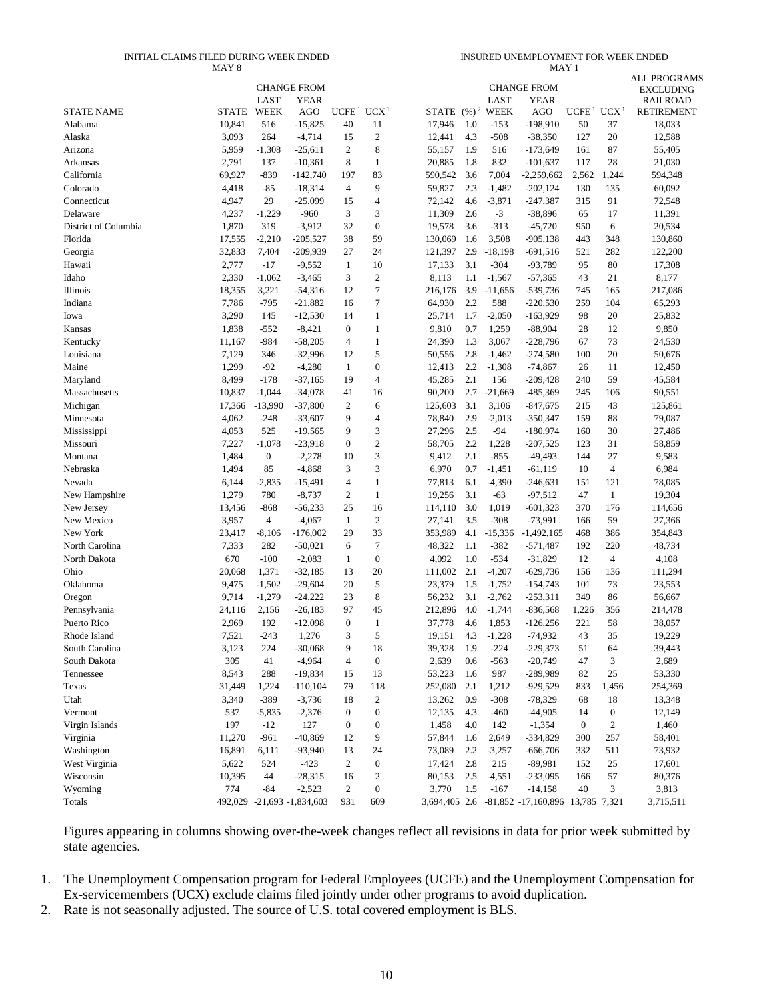#### INITIAL CLAIMS FILED DURING WEEK ENDED MAY 8

INSURED UNEMPLOYMENT FOR WEEK ENDED MAY 1

|                      |              |              | <b>CHANGE FROM</b>         |                    |                  |         |            |                             | <b>CHANGE FROM</b>                             |                   |                  | <b>ALL PROGRAMS</b><br><b>EXCLUDING</b> |
|----------------------|--------------|--------------|----------------------------|--------------------|------------------|---------|------------|-----------------------------|------------------------------------------------|-------------------|------------------|-----------------------------------------|
| <b>STATE NAME</b>    | <b>STATE</b> | LAST<br>WEEK | <b>YEAR</b><br>AGO         | UCFE <sup>1</sup>  | UCX <sup>1</sup> |         |            | LAST<br>STATE $(\%)^2$ WEEK | <b>YEAR</b><br>AGO                             | UCFE <sup>1</sup> | UCX <sup>1</sup> | <b>RAILROAD</b><br><b>RETIREMENT</b>    |
| Alabama              | 10,841       | 516          | $-15,825$                  | 40                 | 11               | 17,946  | 1.0        | $-153$                      | $-198,910$                                     | 50                | 37               | 18,033                                  |
| Alaska               | 3,093        | 264          | $-4,714$                   | 15                 | $\sqrt{2}$       | 12,441  | 4.3        | $-508$                      | $-38,350$                                      | 127               | 20               | 12,588                                  |
| Arizona              | 5,959        | $-1,308$     | $-25,611$                  | 2                  | 8                | 55,157  | 1.9        | 516                         | $-173,649$                                     | 161               | 87               | 55,405                                  |
| Arkansas             | 2,791        | 137          | $-10,361$                  | 8                  | $\mathbf{1}$     | 20,885  | 1.8        | 832                         | $-101,637$                                     | 117               | 28               | 21,030                                  |
| California           | 69,927       | $-839$       | $-142,740$                 | 197                | 83               | 590,542 | 3.6        | 7,004                       | $-2,259,662$                                   | 2,562             | 1,244            | 594,348                                 |
| Colorado             | 4,418        | $-85$        | $-18,314$                  | $\overline{4}$     | 9                | 59,827  | 2.3        | $-1,482$                    | $-202,124$                                     | 130               | 135              | 60,092                                  |
| Connecticut          | 4,947        | 29           | $-25,099$                  | 15                 | $\overline{4}$   | 72,142  | 4.6        | $-3,871$                    | $-247,387$                                     | 315               | 91               | 72,548                                  |
| Delaware             | 4,237        | $-1,229$     | $-960$                     | 3                  | 3                | 11,309  | 2.6        | $-3$                        | $-38,896$                                      | 65                | 17               | 11,391                                  |
| District of Columbia | 1,870        | 319          | $-3,912$                   | 32                 | $\mathbf{0}$     | 19,578  | 3.6        | $-313$                      | $-45,720$                                      | 950               | 6                | 20,534                                  |
| Florida              | 17,555       | $-2,210$     | $-205,527$                 | 38                 | 59               | 130,069 | 1.6        | 3,508                       | $-905,138$                                     | 443               | 348              | 130,860                                 |
|                      | 32,833       | 7,404        |                            | 27                 | 24               |         | 2.9        |                             | $-691,516$                                     | 521               | 282              |                                         |
| Georgia              | 2,777        | $-17$        | $-209,939$                 | $\mathbf{1}$       | 10               | 121,397 | 3.1        | $-18,198$<br>$-304$         | -93,789                                        | 95                | 80               | 122,200<br>17,308                       |
| Hawaii<br>Idaho      |              |              | $-9,552$                   | 3                  | $\mathfrak{2}$   | 17,133  |            |                             |                                                |                   |                  |                                         |
|                      | 2,330        | $-1,062$     | $-3,465$                   | 12                 | $\tau$           | 8,113   | 1.1<br>3.9 | $-1,567$                    | $-57,365$                                      | 43<br>745         | 21               | 8,177                                   |
| Illinois             | 18,355       | 3,221        | $-54,316$                  |                    | $\tau$           | 216,176 |            | $-11,656$                   | $-539,736$                                     | 259               | 165              | 217,086                                 |
| Indiana              | 7,786        | $-795$       | $-21,882$                  | 16                 | $\mathbf{1}$     | 64,930  | 2.2        | 588                         | $-220,530$                                     |                   | 104              | 65,293                                  |
| Iowa                 | 3,290        | 145          | $-12,530$                  | 14<br>$\mathbf{0}$ |                  | 25,714  | 1.7        | $-2,050$                    | $-163,929$                                     | 98                | 20               | 25,832                                  |
| Kansas               | 1,838        | $-552$       | $-8,421$                   |                    | $\mathbf{1}$     | 9,810   | 0.7        | 1,259                       | $-88,904$                                      | 28                | 12               | 9,850                                   |
| Kentucky             | 11,167       | $-984$       | $-58,205$                  | 4                  | $\mathbf{1}$     | 24,390  | 1.3        | 3,067                       | $-228,796$                                     | 67                | 73               | 24,530                                  |
| Louisiana            | 7,129        | 346          | $-32,996$                  | 12                 | 5                | 50,556  | 2.8        | $-1,462$                    | $-274,580$                                     | 100               | 20               | 50,676                                  |
| Maine                | 1,299        | $-92$        | $-4,280$                   | $\mathbf{1}$       | $\mathbf{0}$     | 12,413  | 2.2        | $-1,308$                    | $-74,867$                                      | 26                | 11               | 12,450                                  |
| Maryland             | 8,499        | $-178$       | $-37,165$                  | 19                 | $\overline{4}$   | 45,285  | 2.1        | 156                         | $-209,428$                                     | 240               | 59               | 45,584                                  |
| Massachusetts        | 10,837       | $-1,044$     | $-34,078$                  | 41                 | 16               | 90,200  | 2.7        | $-21,669$                   | $-485,369$                                     | 245               | 106              | 90,551                                  |
| Michigan             | 17,366       | $-13,990$    | $-37,800$                  | $\overline{2}$     | 6                | 125,603 | 3.1        | 3,106                       | $-847,675$                                     | 215               | 43               | 125,861                                 |
| Minnesota            | 4,062        | $-248$       | $-33,607$                  | 9                  | $\overline{4}$   | 78,840  | 2.9        | $-2,013$                    | $-350,347$                                     | 159               | 88               | 79,087                                  |
| Mississippi          | 4,053        | 525          | $-19,565$                  | 9                  | 3                | 27,296  | 2.5        | $-94$                       | $-180,974$                                     | 160               | 30               | 27,486                                  |
| Missouri             | 7,227        | $-1,078$     | $-23,918$                  | $\mathbf{0}$       | $\sqrt{2}$       | 58,705  | 2.2        | 1,228                       | $-207,525$                                     | 123               | 31               | 58,859                                  |
| Montana              | 1,484        | $\mathbf{0}$ | $-2,278$                   | 10                 | 3                | 9,412   | 2.1        | $-855$                      | $-49,493$                                      | 144               | 27               | 9,583                                   |
| Nebraska             | 1,494        | 85           | $-4,868$                   | 3                  | 3                | 6,970   | 0.7        | $-1,451$                    | $-61,119$                                      | 10                | 4                | 6,984                                   |
| Nevada               | 6,144        | $-2,835$     | $-15,491$                  | 4                  | $\mathbf{1}$     | 77,813  | 6.1        | $-4,390$                    | $-246,631$                                     | 151               | 121              | 78,085                                  |
| New Hampshire        | 1,279        | 780          | $-8,737$                   | $\overline{2}$     | $\mathbf{1}$     | 19,256  | 3.1        | $-63$                       | $-97,512$                                      | 47                | 1                | 19,304                                  |
| New Jersey           | 13,456       | -868         | $-56,233$                  | 25                 | 16               | 114,110 | 3.0        | 1,019                       | $-601,323$                                     | 370               | 176              | 114,656                                 |
| New Mexico           | 3,957        | 4            | $-4,067$                   | $\mathbf{1}$       | $\mathfrak{2}$   | 27,141  | 3.5        | $-308$                      | $-73,991$                                      | 166               | 59               | 27,366                                  |
| New York             | 23,417       | $-8,106$     | $-176,002$                 | 29                 | 33               | 353,989 | 4.1        | $-15,336$                   | $-1,492,165$                                   | 468               | 386              | 354,843                                 |
| North Carolina       | 7,333        | 282          | $-50,021$                  | 6                  | 7                | 48,322  | 1.1        | $-382$                      | $-571,487$                                     | 192               | 220              | 48,734                                  |
| North Dakota         | 670          | $-100$       | $-2,083$                   | 1                  | $\boldsymbol{0}$ | 4,092   | 1.0        | $-534$                      | $-31,829$                                      | 12                | 4                | 4,108                                   |
| Ohio                 | 20,068       | 1,371        | $-32,185$                  | 13                 | 20               | 111,002 | 2.1        | $-4,207$                    | $-629,736$                                     | 156               | 136              | 111,294                                 |
| Oklahoma             | 9,475        | $-1,502$     | $-29,604$                  | 20                 | 5                | 23,379  | 1.5        | $-1,752$                    | $-154,743$                                     | 101               | 73               | 23,553                                  |
| Oregon               | 9,714        | $-1,279$     | $-24,222$                  | 23                 | 8                | 56,232  | 3.1        | $-2,762$                    | $-253,311$                                     | 349               | 86               | 56,667                                  |
| Pennsylvania         | 24,116       | 2,156        | $-26,183$                  | 97                 | 45               | 212,896 | 4.0        | $-1,744$                    | $-836,568$                                     | 1,226             | 356              | 214,478                                 |
| Puerto Rico          | 2,969        | 192          | $-12,098$                  | $\overline{0}$     | 1                | 37,778  | 4.6        | 1,853                       | $-126,256$                                     | 221               | 58               | 38,057                                  |
| Rhode Island         | 7,521        | -243         | 1,276                      | 3                  | 5                | 19,151  | 4.3        | $-1,228$                    | $-74,932$                                      | 43                | 35               | 19,229                                  |
| South Carolina       | 3,123        | 224          | $-30,068$                  | 9                  | 18               | 39,328  | 1.9        | $-224$                      | $-229,373$                                     | 51                | 64               | 39,443                                  |
| South Dakota         | 305          | 41           | $-4,964$                   | $\overline{4}$     | $\boldsymbol{0}$ | 2,639   | 0.6        | $-563$                      | $-20,749$                                      | 47                | 3                | 2,689                                   |
| Tennessee            | 8,543        | 288          | $-19,834$                  | 15                 | 13               | 53,223  | 1.6        | 987                         | -289,989                                       | 82                | 25               | 53,330                                  |
| Texas                | 31,449       | 1,224        | $-110,104$                 | 79                 | 118              | 252,080 | 2.1        | 1,212                       | $-929,529$                                     | 833               | 1,456            | 254,369                                 |
| Utah                 | 3,340        | $-389$       | $-3,736$                   | 18                 | $\boldsymbol{2}$ | 13,262  | 0.9        | $-308$                      | $-78,329$                                      | 68                | 18               | 13,348                                  |
| Vermont              | 537          | $-5,835$     | $-2,376$                   | $\boldsymbol{0}$   | $\boldsymbol{0}$ | 12,135  | 4.3        | $-460$                      | $-44,905$                                      | 14                | $\boldsymbol{0}$ | 12,149                                  |
| Virgin Islands       | 197          | $-12$        | 127                        | $\boldsymbol{0}$   | $\boldsymbol{0}$ | 1,458   | 4.0        | 142                         | $-1,354$                                       | $\boldsymbol{0}$  | $\boldsymbol{2}$ | 1,460                                   |
| Virginia             | 11,270       | $-961$       | $-40,869$                  | 12                 | 9                | 57,844  | 1.6        | 2,649                       | $-334,829$                                     | 300               | 257              | 58,401                                  |
| Washington           | 16,891       | 6,111        | -93,940                    | 13                 | 24               | 73,089  | 2.2        | $-3,257$                    | $-666,706$                                     | 332               | 511              | 73,932                                  |
| West Virginia        | 5,622        | 524          | $-423$                     | 2                  | $\boldsymbol{0}$ | 17,424  | 2.8        | 215                         | $-89,981$                                      | 152               | 25               | 17,601                                  |
| Wisconsin            | 10,395       | 44           | $-28,315$                  | 16                 | $\sqrt{2}$       | 80,153  | 2.5        | $-4,551$                    | $-233,095$                                     | 166               | 57               | 80,376                                  |
| Wyoming              | 774          | $-84$        | $-2,523$                   | $\overline{c}$     | $\boldsymbol{0}$ | 3,770   | 1.5        | $-167$                      | $-14,158$                                      | 40                | 3                | 3,813                                   |
| Totals               |              |              | 492,029 -21,693 -1,834,603 | 931                | 609              |         |            |                             | 3,694,405 2.6 -81,852 -17,160,896 13,785 7,321 |                   |                  | 3,715,511                               |

Figures appearing in columns showing over-the-week changes reflect all revisions in data for prior week submitted by state agencies.

1. The Unemployment Compensation program for Federal Employees (UCFE) and the Unemployment Compensation for Ex-servicemembers (UCX) exclude claims filed jointly under other programs to avoid duplication.

2. Rate is not seasonally adjusted. The source of U.S. total covered employment is BLS.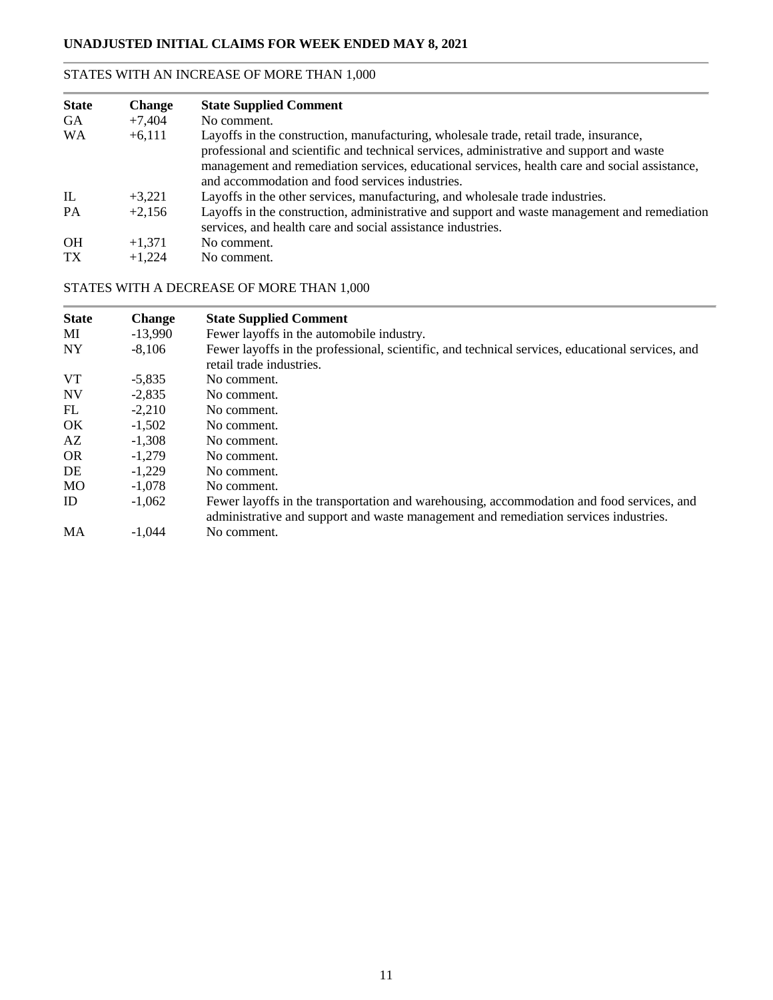### STATES WITH AN INCREASE OF MORE THAN 1,000

| <b>State</b><br><b>GA</b> | <b>Change</b><br>$+7,404$ | <b>State Supplied Comment</b><br>No comment.                                                                                                                |
|---------------------------|---------------------------|-------------------------------------------------------------------------------------------------------------------------------------------------------------|
| <b>WA</b>                 | $+6,111$                  | Layoffs in the construction, manufacturing, wholesale trade, retail trade, insurance,                                                                       |
|                           |                           | professional and scientific and technical services, administrative and support and waste                                                                    |
|                           |                           | management and remediation services, educational services, health care and social assistance,                                                               |
|                           |                           | and accommodation and food services industries.                                                                                                             |
| $\mathbb{L}$              | $+3.221$                  | Layoffs in the other services, manufacturing, and wholesale trade industries.                                                                               |
| <b>PA</b>                 | $+2.156$                  | Layoffs in the construction, administrative and support and waste management and remediation<br>services, and health care and social assistance industries. |
| <b>OH</b>                 | $+1.371$                  | No comment.                                                                                                                                                 |
| TX <sup>1</sup>           | $+1,224$                  | No comment.                                                                                                                                                 |

### STATES WITH A DECREASE OF MORE THAN 1,000

| <b>State</b> | <b>Change</b> | <b>State Supplied Comment</b>                                                                    |
|--------------|---------------|--------------------------------------------------------------------------------------------------|
| MI           | $-13,990$     | Fewer layoffs in the automobile industry.                                                        |
| <b>NY</b>    | $-8.106$      | Fewer layoffs in the professional, scientific, and technical services, educational services, and |
|              |               | retail trade industries.                                                                         |
| <b>VT</b>    | $-5.835$      | No comment.                                                                                      |
| <b>NV</b>    | $-2.835$      | No comment.                                                                                      |
| FL           | $-2.210$      | No comment.                                                                                      |
| OK.          | $-1,502$      | No comment.                                                                                      |
| AZ           | $-1.308$      | No comment.                                                                                      |
| <b>OR</b>    | $-1,279$      | No comment.                                                                                      |
| DE           | $-1.229$      | No comment.                                                                                      |
| <b>MO</b>    | $-1,078$      | No comment.                                                                                      |
| ID           | $-1,062$      | Fewer layoffs in the transportation and warehousing, accommodation and food services, and        |
|              |               | administrative and support and waste management and remediation services industries.             |
| MA           | $-1.044$      | No comment.                                                                                      |